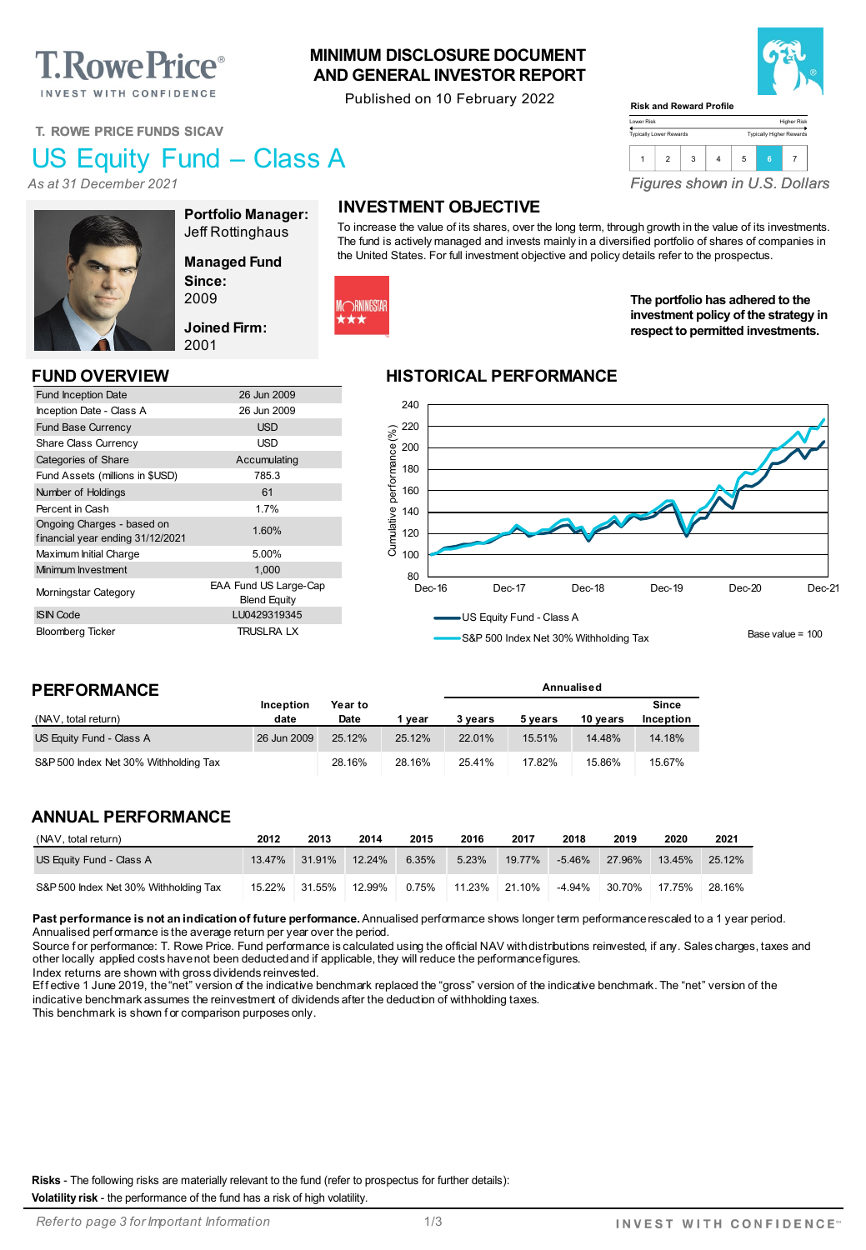# **T. Rowe Price**®

INVEST WITH CONFIDENCE

#### **T. ROWE PRICE FUNDS SICAV**

## US Equity Fund – Class A

*As at 31 December 2021*



**Portfolio Manager:** Jeff Rottinghaus

**Managed Fund Since:** 2009

**Joined Firm:** 2001

| <b>Fund Inception Date</b>                                     | 26 Jun 2009                                  |
|----------------------------------------------------------------|----------------------------------------------|
| Inception Date - Class A                                       | 26 Jun 2009                                  |
| <b>Fund Base Currency</b>                                      | <b>USD</b>                                   |
| <b>Share Class Currency</b>                                    | USD                                          |
| Categories of Share                                            | Accumulating                                 |
| Fund Assets (millions in \$USD)                                | 785.3                                        |
| Number of Holdings                                             | 61                                           |
| Percent in Cash                                                | 1.7%                                         |
| Ongoing Charges - based on<br>financial year ending 31/12/2021 | 1.60%                                        |
| Maximum Initial Charge                                         | 5.00%                                        |
| Minimum Investment                                             | 1,000                                        |
| Morningstar Category                                           | EAA Fund US Large-Cap<br><b>Blend Equity</b> |
| <b>ISIN Code</b>                                               | LU0429319345                                 |
| <b>Bloomberg Ticker</b>                                        | <b>TRUSLRA LX</b>                            |

### **INVESTMENT OBJECTIVE**

**MINIMUM DISCLOSURE DOCUMENT AND GENERAL INVESTOR REPORT** Published on 10 February 2022

To increase the value of its shares, over the long term, through growth in the value of its investments. The fund is actively managed and invests mainly in a diversified portfolio of shares of companies in the United States. For full investment objective and policy details refer to the prospectus.

Lower Risk Typically Lower Rewards

**Risk and Reward Profile**



**The portfolio has adhered to the investment policy of the strategy in respect to permitted investments.**

*Figures shown in U.S. Dollars*

1 2 3 4 5 **<sup>6</sup>** <sup>7</sup>

#### **FUND OVERVIEW HISTORICAL PERFORMANCE**



S&P 500 Index Net 30% Withholding Tax

**Annualised**

Base value = 100

#### **PERFORMANCE**

|                                       | Inception   | Year to |        |         |         |          | <b>Since</b> |
|---------------------------------------|-------------|---------|--------|---------|---------|----------|--------------|
| (NAV, total return)                   | date        | Date    | vear   | 3 vears | 5 vears | 10 vears | Inception    |
| US Equity Fund - Class A              | 26 Jun 2009 | 25.12%  | 25.12% | 22.01%  | 15.51%  | 14.48%   | 14.18%       |
| S&P 500 Index Net 30% Withholding Tax |             | 28.16%  | 28.16% | 25.41%  | 17.82%  | 15.86%   | 15.67%       |

#### **ANNUAL PERFORMANCE**

| (NAV, total return)                   | 2012   | 2013   | 2014   | 2015  | 2016   | 2017   | 2018      | 2019   | 2020   | 2021   |
|---------------------------------------|--------|--------|--------|-------|--------|--------|-----------|--------|--------|--------|
| US Equity Fund - Class A              | 13.47% | 31.91% | 12.24% | 6.35% | 5.23%  | 19.77% | $-5.46%$  | 27.96% | 13.45% | 25.12% |
| S&P 500 Index Net 30% Withholding Tax | 15.22% | 31.55% | 12.99% | 0.75% | 11.23% | 21.10% | $-4.94\%$ | 30.70% | 17.75% | 28.16% |

Past performance is not an indication of future performance. Annualised performance shows longer term performance rescaled to a 1 year period. Annualised perf ormance is the average return per year over the period.

Source for performance: T. Rowe Price. Fund performance is calculated using the official NAV with distributions reinvested, if any. Sales charges, taxes and other locally applied costs have not been deducted and if applicable, they will reduce the performance figures.

Index returns are shown with gross dividends reinvested.

Effective 1 June 2019, the "net" version of the indicative benchmark replaced the "gross" version of the indicative benchmark. The "net" version of the indicative benchmark assumes the reinvestment of dividends after the deduction of withholding taxes.

This benchmark is shown f or comparison purposes only.

**Risks** - The following risks are materially relevant to the fund (refer to prospectus for further details):

**Volatility risk** - the performance of the fund has a risk of high volatility.



Higher Risk Typically Higher Rewards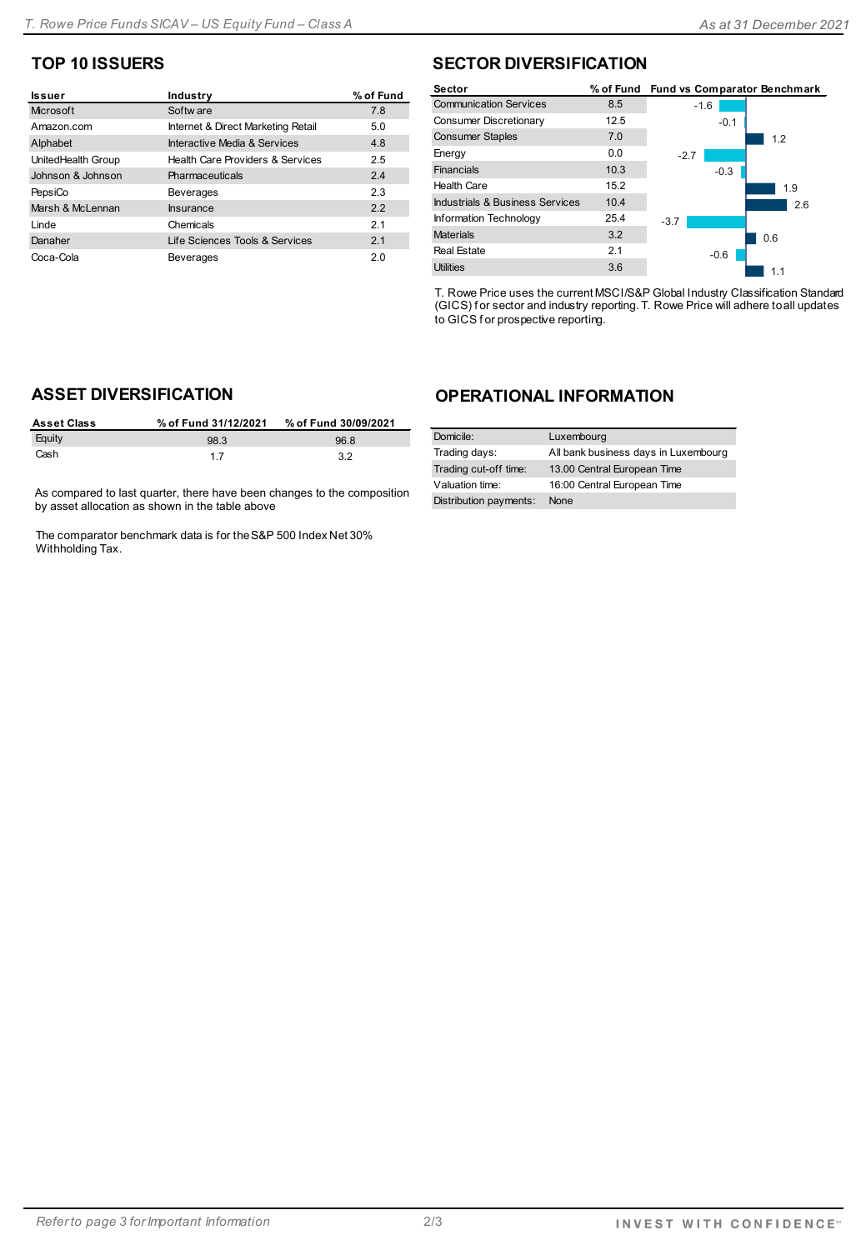| <b>Issuer</b>      | Industry                           | % of Fund |
|--------------------|------------------------------------|-----------|
| Microsoft          | Softw are                          | 7.8       |
| Amazon.com         | Internet & Direct Marketing Retail | 5.0       |
| Alphabet           | Interactive Media & Services       | 4.8       |
| UnitedHealth Group | Health Care Providers & Services   | 2.5       |
| Johnson & Johnson  | Pharmaceuticals                    | 2.4       |
| PepsiCo            | <b>Beverages</b>                   | 2.3       |
| Marsh & McLennan   | <b>Insurance</b>                   | 2.2       |
| I inde             | Chemicals                          | 21        |
| Danaher            | Life Sciences Tools & Services     | 2.1       |
| Coca-Cola          | <b>Beverages</b>                   | 2.0       |

### **TOP 10 ISSUERS SECTOR DIVERSIFICATION**

| Sector                          |      | % of Fund Fund vs Comparator Benchmark |     |
|---------------------------------|------|----------------------------------------|-----|
| <b>Communication Services</b>   | 8.5  | $-1.6$                                 |     |
| Consumer Discretionary          | 12.5 | $-0.1$                                 |     |
| <b>Consumer Staples</b>         | 7.0  |                                        | 1.2 |
| Energy                          | 0.0  | $-2.7$                                 |     |
| <b>Financials</b>               | 10.3 | $-0.3$                                 |     |
| <b>Health Care</b>              | 15.2 |                                        | 1.9 |
| Industrials & Business Services | 10.4 |                                        | 2.6 |
| Information Technology          | 25.4 | $-3.7$                                 |     |
| <b>Materials</b>                | 3.2  | 0.6                                    |     |
| <b>Real Estate</b>              | 2.1  | $-0.6$                                 |     |
| <b>Utilities</b>                | 3.6  |                                        |     |

T. Rowe Price uses the current MSCI/S&P Global Industry Classification Standard (GICS) f or sector and industry reporting. T. Rowe Price will adhere to all updates to GICS f or prospective reporting.

#### **ASSET DIVERSIFICATION**

| <b>Asset Class</b> | % of Fund 31/12/2021 | % of Fund 30/09/2021 |
|--------------------|----------------------|----------------------|
| Equity             | 98.3                 | 96.8                 |
| Cash               | 17                   | 32                   |

As compared to last quarter, there have been changes to the composition by asset allocation as shown in the table above

The comparator benchmark data is for the S&P 500 Index Net 30% Withholding Tax.

#### **OPERATIONAL INFORMATION**

| Domicile:              | Luxembourg                           |
|------------------------|--------------------------------------|
| Trading days:          | All bank business days in Luxembourg |
| Trading cut-off time:  | 13.00 Central European Time          |
| Valuation time:        | 16:00 Central European Time          |
| Distribution payments: | None                                 |